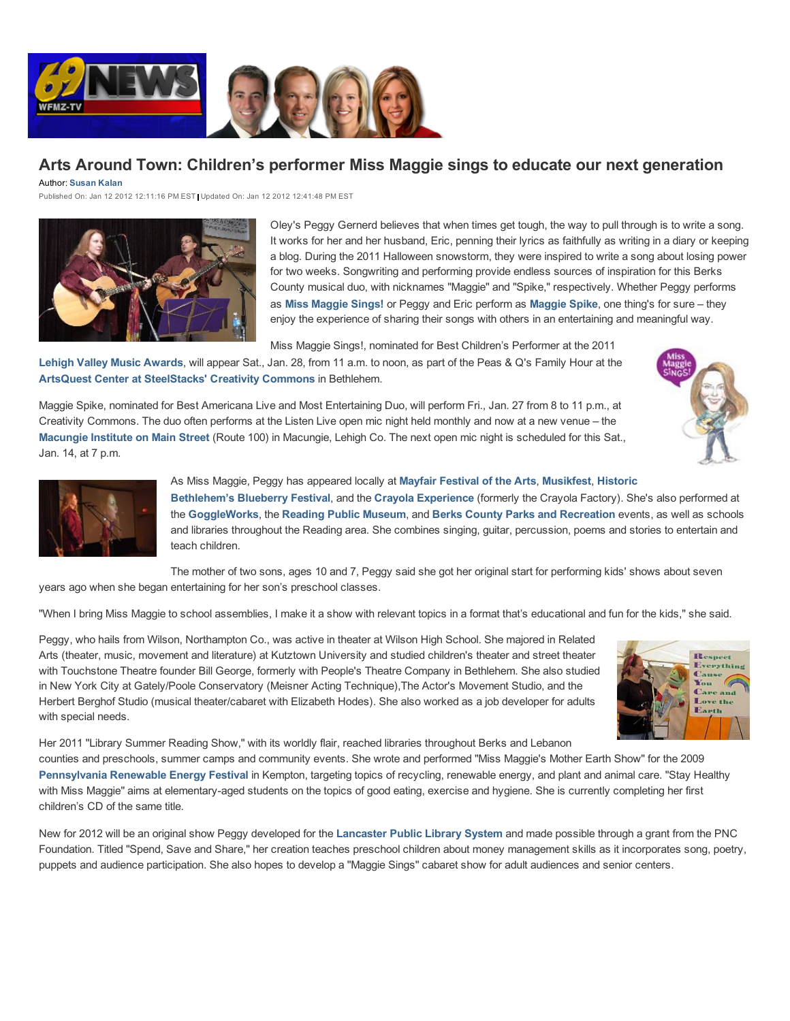

## **Arts Around Town: Children's performer Miss Maggie sings to educate our next generation**

Author: **Susan Kalan**

Published On: Jan 12 2012 12:11:16 PM EST Updated On: Jan 12 2012 12:41:48 PM EST



Oley's Peggy Gernerd believes that when times get tough, the way to pull through is to write a song. It works for her and her husband, Eric, penning their lyrics as faithfully as writing in a diary or keeping a blog. During the 2011 Halloween snowstorm, they were inspired to write a song about losing power for two weeks. Songwriting and performing provide endless sources of inspiration for this Berks County musical duo, with nicknames "Maggie" and "Spike," respectively. Whether Peggy performs as **Miss Maggie Sings!** or Peggy and Eric perform as **Maggie Spike**, one thing's for sure – they enjoy the experience of sharing their songs with others in an entertaining and meaningful way.

Miss Maggie Sings!, nominated for Best Children's Performer at the 2011

**Lehigh Valley Music Awards**, will appear Sat., Jan. 28, from 11 a.m. to noon, as part of the Peas & Q's Family Hour at the **ArtsQuest Center at SteelStacks' Creativity Commons** in Bethlehem.

Maggie Spike, nominated for Best Americana Live and Most Entertaining Duo, will perform Fri., Jan. 27 from 8 to 11 p.m., at Creativity Commons. The duo often performs at the Listen Live open mic night held monthly and now at a new venue – the **Macungie Institute on Main Street** (Route 100) in Macungie, Lehigh Co. The next open mic night is scheduled for this Sat., Jan. 14, at 7 p.m.





As Miss Maggie, Peggy has appeared locally at **Mayfair Festival of the Arts**, **Musikfest**, **Historic Bethlehem's Blueberry Festival**, and the **Crayola Experience** (formerly the Crayola Factory). She's also performed at the **GoggleWorks**, the **Reading Public Museum**, and **Berks County Parks and Recreation** events, as well as schools and libraries throughout the Reading area. She combines singing, guitar, percussion, poems and stories to entertain and teach children.

The mother of two sons, ages 10 and 7, Peggy said she got her original start for performing kids' shows about seven years ago when she began entertaining for her son's preschool classes.

"When I bring Miss Maggie to school assemblies, I make it a show with relevant topics in a format that's educational and fun for the kids," she said.

Peggy, who hails from Wilson, Northampton Co., was active in theater at Wilson High School. She majored in Related Arts (theater, music, movement and literature) at Kutztown University and studied children's theater and street theater with Touchstone Theatre founder Bill George, formerly with People's Theatre Company in Bethlehem. She also studied in New York City at Gately/Poole Conservatory (Meisner Acting Technique),The Actor's Movement Studio, and the Herbert Berghof Studio (musical theater/cabaret with Elizabeth Hodes). She also worked as a job developer for adults with special needs.



Her 2011 "Library Summer Reading Show," with its worldly flair, reached libraries throughout Berks and Lebanon

counties and preschools, summer camps and community events. She wrote and performed "Miss Maggie's Mother Earth Show" for the 2009 **Pennsylvania Renewable Energy Festival** in Kempton, targeting topics of recycling, renewable energy, and plant and animal care. "Stay Healthy with Miss Maggie" aims at elementary-aged students on the topics of good eating, exercise and hygiene. She is currently completing her first children's CD of the same title.

New for 2012 will be an original show Peggy developed for the **Lancaster Public Library System** and made possible through a grant from the PNC Foundation. Titled "Spend, Save and Share," her creation teaches preschool children about money management skills as it incorporates song, poetry, puppets and audience participation. She also hopes to develop a "Maggie Sings" cabaret show for adult audiences and senior centers.